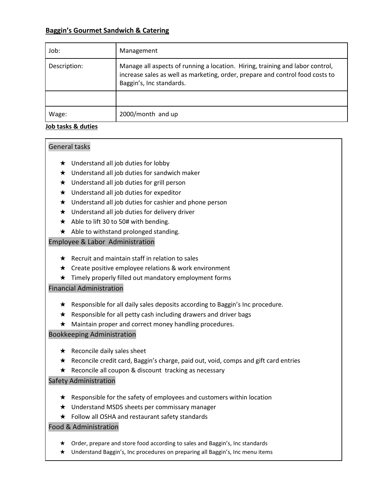# **Baggin's Gourmet Sandwich & Catering**

| Job:         | Management                                                                                                                                                                                 |
|--------------|--------------------------------------------------------------------------------------------------------------------------------------------------------------------------------------------|
| Description: | Manage all aspects of running a location. Hiring, training and labor control,<br>increase sales as well as marketing, order, prepare and control food costs to<br>Baggin's, Inc standards. |
|              |                                                                                                                                                                                            |
| Wage:        | 2000/month and up                                                                                                                                                                          |

### **Job tasks & duties**

# General tasks

- ★ Understand all job duties for lobby
- ★ Understand all job duties for sandwich maker
- ★ Understand all job duties for grill person
- ★ Understand all job duties for expeditor
- $\star$  Understand all job duties for cashier and phone person
- ★ Understand all job duties for delivery driver
- ★ Able to lift 30 to 50# with bending.
- $\star$  Able to withstand prolonged standing.

# Employee & Labor Administration

- $\star$  Recruit and maintain staff in relation to sales
- ★ Create positive employee relations & work environment
- ★ Timely properly filled out mandatory employment forms

# Financial Administration

- ★ Responsible for all daily sales deposits according to Baggin's Inc procedure.
- $\star$  Responsible for all petty cash including drawers and driver bags
- ★ Maintain proper and correct money handling procedures.

# Bookkeeping Administration

- $\star$  Reconcile daily sales sheet
- ★ Reconcile credit card, Baggin's charge, paid out, void, comps and gift card entries
- ★ Reconcile all coupon & discount tracking as necessary

# Safety Administration

- ★ Responsible for the safety of employees and customers within location
- ★ Understand MSDS sheets per commissary manager
- ★ Follow all OSHA and restaurant safety standards

# Food & Administration

- ★ Order, prepare and store food according to sales and Baggin's, Inc standards
- ★ Understand Baggin's, Inc procedures on preparing all Baggin's, Inc menu items